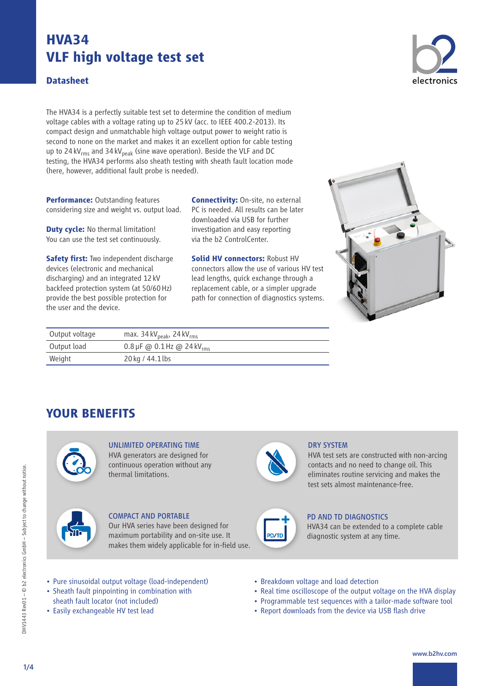#### **Datasheet**

The HVA34 is a perfectly suitable test set to determine the condition of medium voltage cables with a voltage rating up to 25kV (acc. to IEEE 400.2-2013). Its compact design and unmatchable high voltage output power to weight ratio is second to none on the market and makes it an excellent option for cable testing up to 24 kV<sub>rms</sub> and 34 kV<sub>peak</sub> (sine wave operation). Beside the VLF and DC testing, the HVA34 performs also sheath testing with sheath fault location mode (here, however, additional fault probe is needed).

**Performance: Outstanding features** considering size and weight vs. output load.

**Duty cycle:** No thermal limitation! You can use the test set continuously.

**Safety first:** Two independent discharge devices (electronic and mechanical discharging) and an integrated 12kV backfeed protection system (at 50/60Hz) provide the best possible protection for the user and the device.

Weight 20 kg / 44.1 lbs

**Connectivity:** On-site, no external PC is needed. All results can be later downloaded via USB for further investigation and easy reporting via the b2 ControlCenter.

**Solid HV connectors:** Robust HV connectors allow the use of various HV test lead lengths, quick exchange through a replacement cable, or a simpler upgrade path for connection of diagnostics systems.



## **YOUR BENEFITS**



### UNLIMITED OPERATING TIME HVA generators are designed for continuous operation without any

thermal limitations.



COMPACT AND PORTABLE Our HVA series have been designed for maximum portability and on-site use. It makes them widely applicable for in-field use.



#### DRY SYSTEM

HVA test sets are constructed with non-arcing contacts and no need to change oil. This eliminates routine servicing and makes the test sets almost maintenance-free.



#### PD AND TD DIAGNOSTICS

HVA34 can be extended to a complete cable diagnostic system at any time.

- Pure sinusoidal output voltage (load-independent)
- Sheath fault pinpointing in combination with
- sheath fault locator (not included)
- Easily exchangeable HV test lead
- Breakdown voltage and load detection
- Real time oscilloscope of the output voltage on the HVA display
- Programmable test sequences with a tailor-made software tool
- Report downloads from the device via USB flash drive



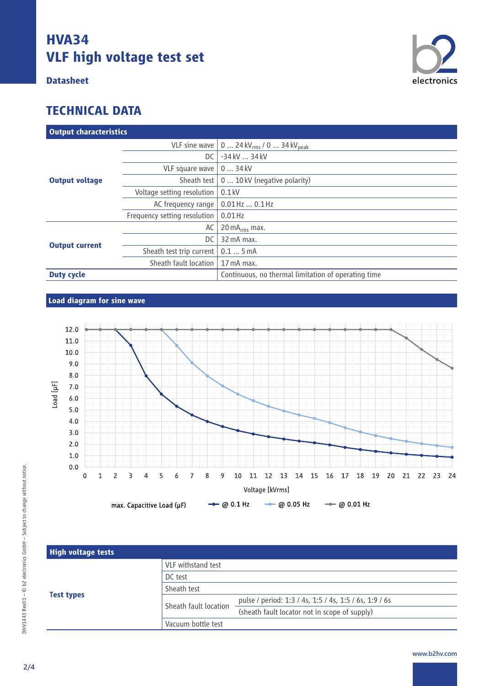### **Datasheet**



| <b>Output characteristics</b> |                              |                                                     |  |
|-------------------------------|------------------------------|-----------------------------------------------------|--|
|                               | VLF sine wave                | 0  24 kV $_{rms}$ / 0  34 kV <sub>peak</sub>        |  |
| <b>Output voltage</b>         | DC.                          | -34 kV  34 kV                                       |  |
|                               | VLF square wave              | 034kV                                               |  |
|                               | Sheath test                  | 0  10 kV (negative polarity)                        |  |
|                               | Voltage setting resolution   | $0.1$ kV                                            |  |
|                               | AC frequency range           | $0.01$ Hz $$ $0.1$ Hz                               |  |
|                               | Frequency setting resolution | $0.01$ Hz                                           |  |
| <b>Output current</b>         | AC                           | 20 m $A_{rms}$ max.                                 |  |
|                               | DC                           | 32 mA max.                                          |  |
|                               | Sheath test trip current     | 0.15mA                                              |  |
|                               | Sheath fault location        | $17 \text{ mA max}$ .                               |  |
| <b>Duty cycle</b>             |                              | Continuous, no thermal limitation of operating time |  |

### **Load diagram for sine wave**



| <b>High voltage tests</b> |                       |                                                        |
|---------------------------|-----------------------|--------------------------------------------------------|
|                           | VLF withstand test    |                                                        |
|                           | DC test               |                                                        |
|                           | Sheath test           |                                                        |
| <b>Test types</b>         | Sheath fault location | pulse / period: 1:3 / 4s, 1:5 / 4s, 1:5 / 6s, 1:9 / 6s |
|                           |                       | (sheath fault locator not in scope of supply)          |
|                           | Vacuum bottle test    |                                                        |

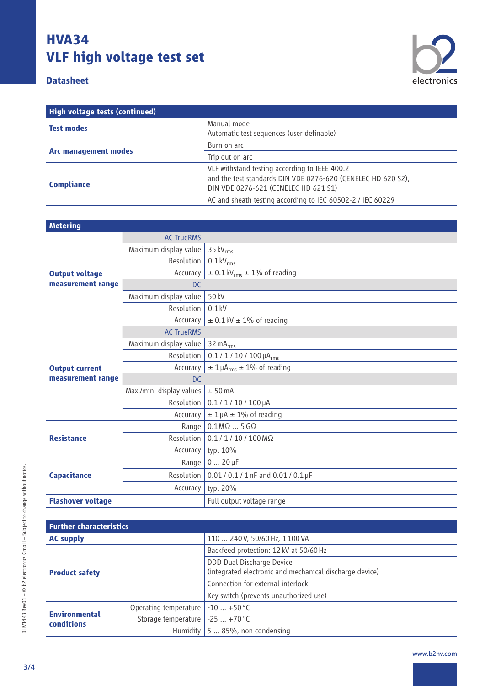### **Datasheet**



| High voltage tests (continued) |                                                                                                                                                       |  |
|--------------------------------|-------------------------------------------------------------------------------------------------------------------------------------------------------|--|
| <b>Test modes</b>              | Manual mode<br>Automatic test sequences (user definable)                                                                                              |  |
| <b>Arc management modes</b>    | Burn on arc                                                                                                                                           |  |
|                                | Trip out on arc                                                                                                                                       |  |
| <b>Compliance</b>              | VLF withstand testing according to IEEE 400.2<br>and the test standards DIN VDE 0276-620 (CENELEC HD 620 S2),<br>DIN VDE 0276-621 (CENELEC HD 621 S1) |  |
|                                | AC and sheath testing according to IEC 60502-2 / IEC 60229                                                                                            |  |

| <b>Metering</b>                            |                          |                                                 |  |  |
|--------------------------------------------|--------------------------|-------------------------------------------------|--|--|
|                                            | <b>AC TrueRMS</b>        |                                                 |  |  |
|                                            | Maximum display value    | 35 $kVrms$                                      |  |  |
|                                            | Resolution               | $0.1 \text{ kV}_{\text{rms}}$                   |  |  |
| <b>Output voltage</b>                      | Accuracy                 | $\pm$ 0.1 kV <sub>rms</sub> $\pm$ 1% of reading |  |  |
| measurement range                          | D <sub>C</sub>           |                                                 |  |  |
|                                            | Maximum display value    | 50 kV                                           |  |  |
|                                            | Resolution               | $0.1$ kV                                        |  |  |
|                                            | Accuracy                 | $\pm$ 0.1 kV $\pm$ 1% of reading                |  |  |
|                                            | <b>AC TrueRMS</b>        |                                                 |  |  |
| <b>Output current</b><br>measurement range | Maximum display value    | 32 $mA_{rms}$                                   |  |  |
|                                            | Resolution               | $0.1 / 1 / 10 / 100 \mu A_{rms}$                |  |  |
|                                            | Accuracy                 | $\pm$ 1 µA <sub>rms</sub> $\pm$ 1% of reading   |  |  |
|                                            | <b>DC</b>                |                                                 |  |  |
|                                            | Max./min. display values | ± 50mA                                          |  |  |
|                                            | Resolution               | $0.1 / 1 / 10 / 100 \mu A$                      |  |  |
|                                            | Accuracy                 | $\pm$ 1 µA $\pm$ 1% of reading                  |  |  |
| <b>Resistance</b>                          | Range                    | $0.1$ M $\Omega$ 5 G $\Omega$                   |  |  |
|                                            | Resolution               | $0.1 / 1 / 10 / 100 M\Omega$                    |  |  |
|                                            | Accuracy                 | typ. 10%                                        |  |  |
| <b>Capacitance</b>                         | Range                    | $020 \,\mu F$                                   |  |  |
|                                            | Resolution               | $0.01 / 0.1 / 1$ nF and $0.01 / 0.1$ µF         |  |  |
|                                            | Accuracy                 | typ. 20%                                        |  |  |
| <b>Flashover voltage</b>                   |                          | Full output voltage range                       |  |  |

| <b>Further characteristics</b>            |                                         |                                                         |  |
|-------------------------------------------|-----------------------------------------|---------------------------------------------------------|--|
| <b>AC supply</b>                          |                                         | 110  240 V, 50/60 Hz, 1100 VA                           |  |
| <b>Product safety</b>                     |                                         | Backfeed protection: 12 kV at 50/60 Hz                  |  |
|                                           |                                         | <b>DDD Dual Discharge Device</b>                        |  |
|                                           |                                         | (integrated electronic and mechanical discharge device) |  |
|                                           |                                         | Connection for external interlock                       |  |
|                                           |                                         | Key switch (prevents unauthorized use)                  |  |
| <b>Environmental</b><br><b>conditions</b> | Operating temperature                   | $-10$ +50 °C                                            |  |
|                                           | Storage temperature $\vert$ -25  +70 °C |                                                         |  |
|                                           |                                         | Humidity $\vert$ 5  85%, non condensing                 |  |